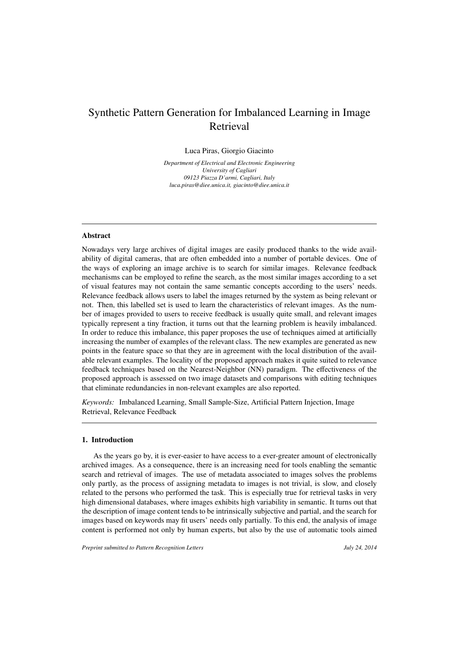# Synthetic Pattern Generation for Imbalanced Learning in Image Retrieval

## Luca Piras, Giorgio Giacinto

*Department of Electrical and Electronic Engineering University of Cagliari 09123 Piazza D'armi, Cagliari, Italy luca.piras@diee.unica.it, giacinto@diee.unica.it*

## Abstract

Nowadays very large archives of digital images are easily produced thanks to the wide availability of digital cameras, that are often embedded into a number of portable devices. One of the ways of exploring an image archive is to search for similar images. Relevance feedback mechanisms can be employed to refine the search, as the most similar images according to a set of visual features may not contain the same semantic concepts according to the users' needs. Relevance feedback allows users to label the images returned by the system as being relevant or not. Then, this labelled set is used to learn the characteristics of relevant images. As the number of images provided to users to receive feedback is usually quite small, and relevant images typically represent a tiny fraction, it turns out that the learning problem is heavily imbalanced. In order to reduce this imbalance, this paper proposes the use of techniques aimed at artificially increasing the number of examples of the relevant class. The new examples are generated as new points in the feature space so that they are in agreement with the local distribution of the available relevant examples. The locality of the proposed approach makes it quite suited to relevance feedback techniques based on the Nearest-Neighbor (NN) paradigm. The effectiveness of the proposed approach is assessed on two image datasets and comparisons with editing techniques that eliminate redundancies in non-relevant examples are also reported.

*Keywords:* Imbalanced Learning, Small Sample-Size, Artificial Pattern Injection, Image Retrieval, Relevance Feedback

## 1. Introduction

As the years go by, it is ever-easier to have access to a ever-greater amount of electronically archived images. As a consequence, there is an increasing need for tools enabling the semantic search and retrieval of images. The use of metadata associated to images solves the problems only partly, as the process of assigning metadata to images is not trivial, is slow, and closely related to the persons who performed the task. This is especially true for retrieval tasks in very high dimensional databases, where images exhibits high variability in semantic. It turns out that the description of image content tends to be intrinsically subjective and partial, and the search for images based on keywords may fit users' needs only partially. To this end, the analysis of image content is performed not only by human experts, but also by the use of automatic tools aimed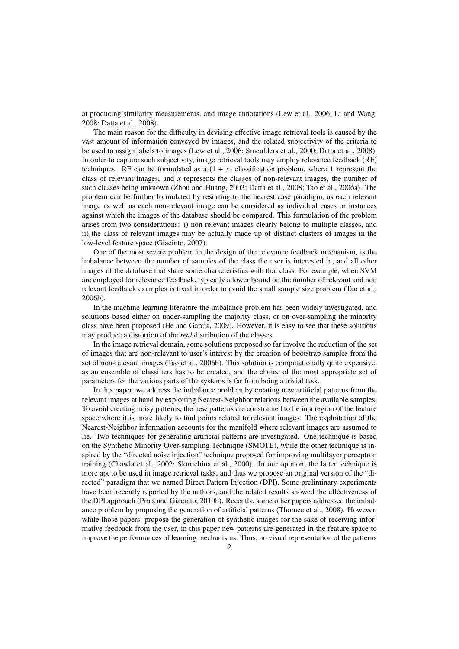at producing similarity measurements, and image annotations (Lew et al., 2006; Li and Wang, 2008; Datta et al., 2008).

The main reason for the difficulty in devising effective image retrieval tools is caused by the vast amount of information conveyed by images, and the related subjectivity of the criteria to be used to assign labels to images (Lew et al., 2006; Smeulders et al., 2000; Datta et al., 2008). In order to capture such subjectivity, image retrieval tools may employ relevance feedback (RF) techniques. RF can be formulated as a  $(1 + x)$  classification problem, where 1 represent the class of relevant images, and *x* represents the classes of non-relevant images, the number of such classes being unknown (Zhou and Huang, 2003; Datta et al., 2008; Tao et al., 2006a). The problem can be further formulated by resorting to the nearest case paradigm, as each relevant image as well as each non-relevant image can be considered as individual cases or instances against which the images of the database should be compared. This formulation of the problem arises from two considerations: i) non-relevant images clearly belong to multiple classes, and ii) the class of relevant images may be actually made up of distinct clusters of images in the low-level feature space (Giacinto, 2007).

One of the most severe problem in the design of the relevance feedback mechanism, is the imbalance between the number of samples of the class the user is interested in, and all other images of the database that share some characteristics with that class. For example, when SVM are employed for relevance feedback, typically a lower bound on the number of relevant and non relevant feedback examples is fixed in order to avoid the small sample size problem (Tao et al., 2006b).

In the machine-learning literature the imbalance problem has been widely investigated, and solutions based either on under-sampling the majority class, or on over-sampling the minority class have been proposed (He and Garcia, 2009). However, it is easy to see that these solutions may produce a distortion of the *real* distribution of the classes.

In the image retrieval domain, some solutions proposed so far involve the reduction of the set of images that are non-relevant to user's interest by the creation of bootstrap samples from the set of non-relevant images (Tao et al., 2006b). This solution is computationally quite expensive, as an ensemble of classifiers has to be created, and the choice of the most appropriate set of parameters for the various parts of the systems is far from being a trivial task.

In this paper, we address the imbalance problem by creating new artificial patterns from the relevant images at hand by exploiting Nearest-Neighbor relations between the available samples. To avoid creating noisy patterns, the new patterns are constrained to lie in a region of the feature space where it is more likely to find points related to relevant images. The exploitation of the Nearest-Neighbor information accounts for the manifold where relevant images are assumed to lie. Two techniques for generating artificial patterns are investigated. One technique is based on the Synthetic Minority Over-sampling Technique (SMOTE), while the other technique is inspired by the "directed noise injection" technique proposed for improving multilayer perceptron training (Chawla et al., 2002; Skurichina et al., 2000). In our opinion, the latter technique is more apt to be used in image retrieval tasks, and thus we propose an original version of the "directed" paradigm that we named Direct Pattern Injection (DPI). Some preliminary experiments have been recently reported by the authors, and the related results showed the effectiveness of the DPI approach (Piras and Giacinto, 2010b). Recently, some other papers addressed the imbalance problem by proposing the generation of artificial patterns (Thomee et al., 2008). However, while those papers, propose the generation of synthetic images for the sake of receiving informative feedback from the user, in this paper new patterns are generated in the feature space to improve the performances of learning mechanisms. Thus, no visual representation of the patterns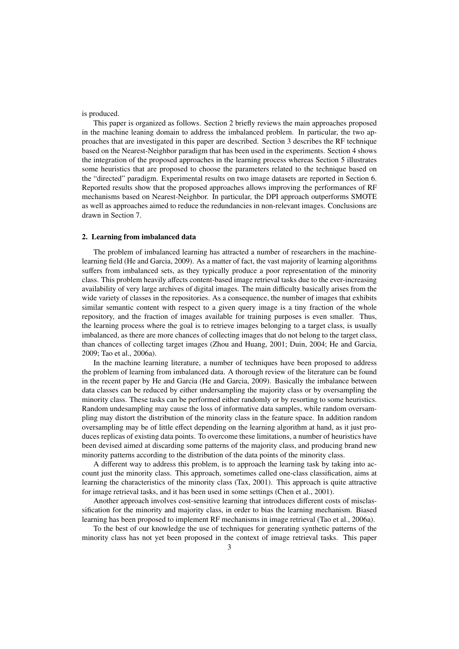is produced.

This paper is organized as follows. Section 2 briefly reviews the main approaches proposed in the machine leaning domain to address the imbalanced problem. In particular, the two approaches that are investigated in this paper are described. Section 3 describes the RF technique based on the Nearest-Neighbor paradigm that has been used in the experiments. Section 4 shows the integration of the proposed approaches in the learning process whereas Section 5 illustrates some heuristics that are proposed to choose the parameters related to the technique based on the "directed" paradigm. Experimental results on two image datasets are reported in Section 6. Reported results show that the proposed approaches allows improving the performances of RF mechanisms based on Nearest-Neighbor. In particular, the DPI approach outperforms SMOTE as well as approaches aimed to reduce the redundancies in non-relevant images. Conclusions are drawn in Section 7.

#### 2. Learning from imbalanced data

The problem of imbalanced learning has attracted a number of researchers in the machinelearning field (He and Garcia, 2009). As a matter of fact, the vast majority of learning algorithms suffers from imbalanced sets, as they typically produce a poor representation of the minority class. This problem heavily affects content-based image retrieval tasks due to the ever-increasing availability of very large archives of digital images. The main difficulty basically arises from the wide variety of classes in the repositories. As a consequence, the number of images that exhibits similar semantic content with respect to a given query image is a tiny fraction of the whole repository, and the fraction of images available for training purposes is even smaller. Thus, the learning process where the goal is to retrieve images belonging to a target class, is usually imbalanced, as there are more chances of collecting images that do not belong to the target class, than chances of collecting target images (Zhou and Huang, 2001; Duin, 2004; He and Garcia, 2009; Tao et al., 2006a).

In the machine learning literature, a number of techniques have been proposed to address the problem of learning from imbalanced data. A thorough review of the literature can be found in the recent paper by He and Garcia (He and Garcia, 2009). Basically the imbalance between data classes can be reduced by either undersampling the majority class or by oversampling the minority class. These tasks can be performed either randomly or by resorting to some heuristics. Random undesampling may cause the loss of informative data samples, while random oversampling may distort the distribution of the minority class in the feature space. In addition random oversampling may be of little effect depending on the learning algorithm at hand, as it just produces replicas of existing data points. To overcome these limitations, a number of heuristics have been devised aimed at discarding some patterns of the majority class, and producing brand new minority patterns according to the distribution of the data points of the minority class.

A different way to address this problem, is to approach the learning task by taking into account just the minority class. This approach, sometimes called one-class classification, aims at learning the characteristics of the minority class (Tax, 2001). This approach is quite attractive for image retrieval tasks, and it has been used in some settings (Chen et al., 2001).

Another approach involves cost-sensitive learning that introduces different costs of misclassification for the minority and majority class, in order to bias the learning mechanism. Biased learning has been proposed to implement RF mechanisms in image retrieval (Tao et al., 2006a).

To the best of our knowledge the use of techniques for generating synthetic patterns of the minority class has not yet been proposed in the context of image retrieval tasks. This paper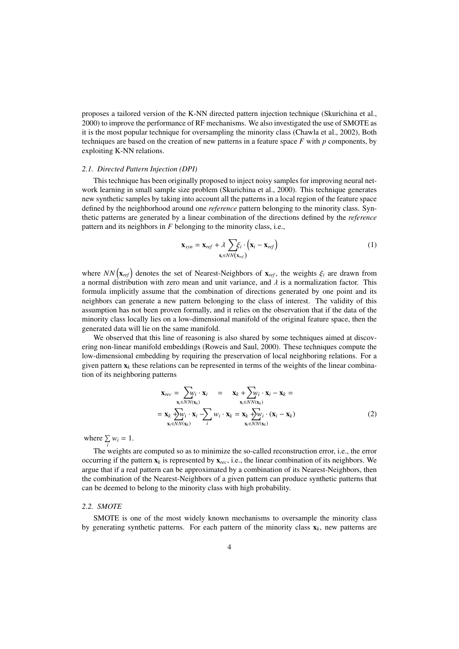proposes a tailored version of the K-NN directed pattern injection technique (Skurichina et al., 2000) to improve the performance of RF mechanisms. We also investigated the use of SMOTE as it is the most popular technique for oversampling the minority class (Chawla et al., 2002), Both techniques are based on the creation of new patterns in a feature space  $F$  with  $p$  components, by exploiting K-NN relations.

#### *2.1. Directed Pattern Injection (DPI)*

This technique has been originally proposed to inject noisy samples for improving neural network learning in small sample size problem (Skurichina et al., 2000). This technique generates new synthetic samples by taking into account all the patterns in a local region of the feature space defined by the neighborhood around one *reference* pattern belonging to the minority class. Synthetic patterns are generated by a linear combination of the directions defined by the *reference* pattern and its neighbors in *F* belonging to the minority class, i.e.,

$$
\mathbf{x}_{syn} = \mathbf{x}_{ref} + \lambda \sum_{\mathbf{x}_i \in NN(\mathbf{x}_{ref})} \xi_i \cdot (\mathbf{x}_i - \mathbf{x}_{ref})
$$
(1)

where  $NN(\mathbf{x}_{ref})$  denotes the set of Nearest-Neighbors of  $\mathbf{x}_{ref}$ , the weights  $\xi_i$  are drawn from<br>a normal distribution with zero mean and unit variance, and *i* is a normalization factor. This a normal distribution with zero mean and unit variance, and  $\lambda$  is a normalization factor. This formula implicitly assume that the combination of directions generated by one point and its neighbors can generate a new pattern belonging to the class of interest. The validity of this assumption has not been proven formally, and it relies on the observation that if the data of the minority class locally lies on a low-dimensional manifold of the original feature space, then the generated data will lie on the same manifold.

We observed that this line of reasoning is also shared by some techniques aimed at discovering non-linear manifold embeddings (Roweis and Saul, 2000). These techniques compute the low-dimensional embedding by requiring the preservation of local neighboring relations. For a given pattern  $x_k$  these relations can be represented in terms of the weights of the linear combination of its neighboring patterns

$$
\mathbf{x}_{rec} = \sum_{\mathbf{x}_i \in NN(\mathbf{x}_k)} w_i \cdot \mathbf{x}_i = \mathbf{x}_k + \sum_{\mathbf{x}_i \in NN(\mathbf{x}_k)} w_i \cdot \mathbf{x}_i - \mathbf{x}_k =
$$
\n
$$
= \mathbf{x}_k + \sum_{\mathbf{x}_i \in NN(\mathbf{x}_k)} w_i \cdot \mathbf{x}_i - \sum_i w_i \cdot \mathbf{x}_k = \mathbf{x}_k + \sum_{\mathbf{x}_i \in NN(\mathbf{x}_k)} w_i \cdot (\mathbf{x}_i - \mathbf{x}_k)
$$
\n(2)

where  $\sum_{i} w_i = 1$ .

The weights are computed so as to minimize the so-called reconstruction error, i.e., the error occurring if the pattern  $\mathbf{x}_k$  is represented by  $\mathbf{x}_{rec}$ , i.e., the linear combination of its neighbors. We argue that if a real pattern can be approximated by a combination of its Nearest-Neighbors, then the combination of the Nearest-Neighbors of a given pattern can produce synthetic patterns that can be deemed to belong to the minority class with high probability.

## *2.2. SMOTE*

SMOTE is one of the most widely known mechanisms to oversample the minority class by generating synthetic patterns. For each pattern of the minority class  $\mathbf{x}_k$ , new patterns are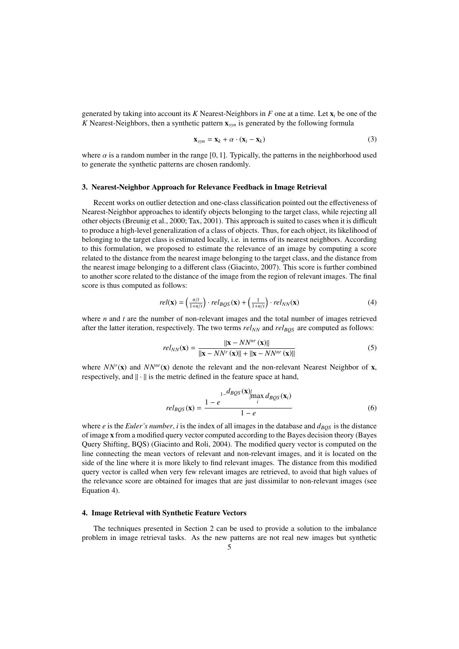generated by taking into account its  $K$  Nearest-Neighbors in  $F$  one at a time. Let  $\mathbf{x}_i$  be one of the *K* Nearest-Neighbors, then a synthetic pattern x*syn* is generated by the following formula

$$
\mathbf{x}_{syn} = \mathbf{x}_k + \alpha \cdot (\mathbf{x}_i - \mathbf{x}_k) \tag{3}
$$

where  $\alpha$  is a random number in the range [0, 1]. Typically, the patterns in the neighborhood used to generate the synthetic patterns are chosen randomly.

#### 3. Nearest-Neighbor Approach for Relevance Feedback in Image Retrieval

Recent works on outlier detection and one-class classification pointed out the effectiveness of Nearest-Neighbor approaches to identify objects belonging to the target class, while rejecting all other objects (Breunig et al., 2000; Tax, 2001). This approach is suited to cases when it is difficult to produce a high-level generalization of a class of objects. Thus, for each object, its likelihood of belonging to the target class is estimated locally, i.e. in terms of its nearest neighbors. According to this formulation, we proposed to estimate the relevance of an image by computing a score related to the distance from the nearest image belonging to the target class, and the distance from the nearest image belonging to a different class (Giacinto, 2007). This score is further combined to another score related to the distance of the image from the region of relevant images. The final score is thus computed as follows:

$$
rel(\mathbf{x}) = \left(\frac{n/t}{1+n/t}\right) \cdot rel_{BQS}(\mathbf{x}) + \left(\frac{1}{1+n/t}\right) \cdot rel_{NN}(\mathbf{x})
$$
(4)

where *n* and *t* are the number of non-relevant images and the total number of images retrieved after the latter iteration, respectively. The two terms  $rel_{NN}$  and  $rel_{BOS}$  are computed as follows:

$$
rel_{NN}(\mathbf{x}) = \frac{||\mathbf{x} - NN^{nr}(\mathbf{x})||}{||\mathbf{x} - NN^{r}(\mathbf{x})|| + ||\mathbf{x} - NN^{nr}(\mathbf{x})||}
$$
(5)

where  $NN^{r}(x)$  and  $NN^{nr}(x)$  denote the relevant and the non-relevant Nearest Neighbor of x, respectively, and  $\|\cdot\|$  is the metric defined in the feature space at hand,

$$
rel_{BQS}(\mathbf{x}) = \frac{1 - e^{-1\log(S(\mathbf{x}))} \max_{i} d_{BQS}(\mathbf{x}_{i})}{1 - e}
$$
(6)

where *e* is the *Euler's number*, *i* is the index of all images in the database and  $d_{BOS}$  is the distance of image x from a modified query vector computed according to the Bayes decision theory (Bayes Query Shifting, BQS) (Giacinto and Roli, 2004). The modified query vector is computed on the line connecting the mean vectors of relevant and non-relevant images, and it is located on the side of the line where it is more likely to find relevant images. The distance from this modified query vector is called when very few relevant images are retrieved, to avoid that high values of the relevance score are obtained for images that are just dissimilar to non-relevant images (see Equation 4).

## 4. Image Retrieval with Synthetic Feature Vectors

The techniques presented in Section 2 can be used to provide a solution to the imbalance problem in image retrieval tasks. As the new patterns are not real new images but synthetic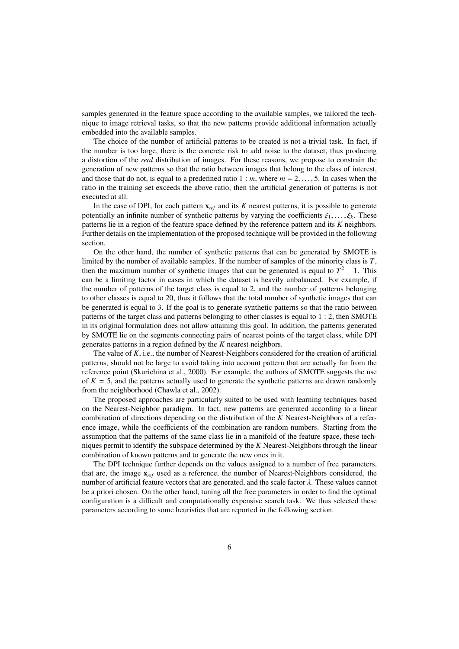samples generated in the feature space according to the available samples, we tailored the technique to image retrieval tasks, so that the new patterns provide additional information actually embedded into the available samples.

The choice of the number of artificial patterns to be created is not a trivial task. In fact, if the number is too large, there is the concrete risk to add noise to the dataset, thus producing a distortion of the *real* distribution of images. For these reasons, we propose to constrain the generation of new patterns so that the ratio between images that belong to the class of interest, and those that do not, is equal to a predefined ratio  $1 : m$ , where  $m = 2, \ldots, 5$ . In cases when the ratio in the training set exceeds the above ratio, then the artificial generation of patterns is not executed at all.

In the case of DPI, for each pattern  $\mathbf{x}_{ref}$  and its  $K$  nearest patterns, it is possible to generate potentially an infinite number of synthetic patterns by varying the coefficients  $\xi_1, \ldots, \xi_k$ . These patterns lie in a region of the feature space defined by the reference pattern and its *K* neighbors. Further details on the implementation of the proposed technique will be provided in the following section.

On the other hand, the number of synthetic patterns that can be generated by SMOTE is limited by the number of available samples. If the number of samples of the minority class is *T*, then the maximum number of synthetic images that can be generated is equal to  $T^2 - 1$ . This can be a limiting factor in cases in which the dataset is heavily unbalanced. For example, if the number of patterns of the target class is equal to 2, and the number of patterns belonging to other classes is equal to 20, thus it follows that the total number of synthetic images that can be generated is equal to 3. If the goal is to generate synthetic patterns so that the ratio between patterns of the target class and patterns belonging to other classes is equal to 1 : 2, then SMOTE in its original formulation does not allow attaining this goal. In addition, the patterns generated by SMOTE lie on the segments connecting pairs of nearest points of the target class, while DPI generates patterns in a region defined by the *K* nearest neighbors.

The value of *K*, i.e., the number of Nearest-Neighbors considered for the creation of artificial patterns, should not be large to avoid taking into account pattern that are actually far from the reference point (Skurichina et al., 2000). For example, the authors of SMOTE suggests the use of  $K = 5$ , and the patterns actually used to generate the synthetic patterns are drawn randomly from the neighborhood (Chawla et al., 2002).

The proposed approaches are particularly suited to be used with learning techniques based on the Nearest-Neighbor paradigm. In fact, new patterns are generated according to a linear combination of directions depending on the distribution of the *K* Nearest-Neighbors of a reference image, while the coefficients of the combination are random numbers. Starting from the assumption that the patterns of the same class lie in a manifold of the feature space, these techniques permit to identify the subspace determined by the *K* Nearest-Neighbors through the linear combination of known patterns and to generate the new ones in it.

The DPI technique further depends on the values assigned to a number of free parameters, that are, the image x*ref* used as a reference, the number of Nearest-Neighbors considered, the number of artificial feature vectors that are generated, and the scale factor  $\lambda$ . These values cannot be a priori chosen. On the other hand, tuning all the free parameters in order to find the optimal configuration is a difficult and computationally expensive search task. We thus selected these parameters according to some heuristics that are reported in the following section.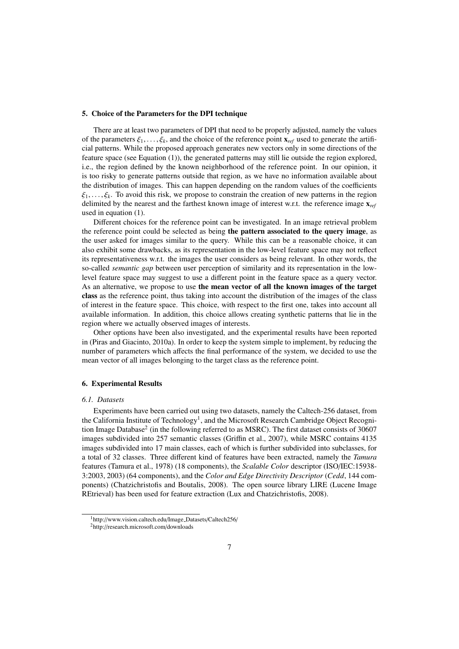#### 5. Choice of the Parameters for the DPI technique

There are at least two parameters of DPI that need to be properly adjusted, namely the values of the parameters  $\xi_1, \ldots, \xi_k$ , and the choice of the reference point  $\mathbf{x}_{ref}$  used to generate the artificial patterns. While the proposed approach generates new vectors only in some directions of the feature space (see Equation (1)), the generated patterns may still lie outside the region explored, i.e., the region defined by the known neighborhood of the reference point. In our opinion, it is too risky to generate patterns outside that region, as we have no information available about the distribution of images. This can happen depending on the random values of the coefficients  $\xi_1, \ldots, \xi_k$ . To avoid this risk, we propose to constrain the creation of new patterns in the region delimited by the nearest and the farthest known image of interest w.r.t. the reference image x*ref* used in equation (1).

Different choices for the reference point can be investigated. In an image retrieval problem the reference point could be selected as being the pattern associated to the query image, as the user asked for images similar to the query. While this can be a reasonable choice, it can also exhibit some drawbacks, as its representation in the low-level feature space may not reflect its representativeness w.r.t. the images the user considers as being relevant. In other words, the so-called *semantic gap* between user perception of similarity and its representation in the lowlevel feature space may suggest to use a different point in the feature space as a query vector. As an alternative, we propose to use the mean vector of all the known images of the target class as the reference point, thus taking into account the distribution of the images of the class of interest in the feature space. This choice, with respect to the first one, takes into account all available information. In addition, this choice allows creating synthetic patterns that lie in the region where we actually observed images of interests.

Other options have been also investigated, and the experimental results have been reported in (Piras and Giacinto, 2010a). In order to keep the system simple to implement, by reducing the number of parameters which affects the final performance of the system, we decided to use the mean vector of all images belonging to the target class as the reference point.

## 6. Experimental Results

## *6.1. Datasets*

Experiments have been carried out using two datasets, namely the Caltech-256 dataset, from the California Institute of Technology<sup>1</sup>, and the Microsoft Research Cambridge Object Recognition Image Database<sup>2</sup> (in the following referred to as MSRC). The first dataset consists of 30607 images subdivided into 257 semantic classes (Griffin et al., 2007), while MSRC contains 4135 images subdivided into 17 main classes, each of which is further subdivided into subclasses, for a total of 32 classes. Three different kind of features have been extracted, namely the *Tamura* features (Tamura et al., 1978) (18 components), the *Scalable Color* descriptor (ISO/IEC:15938- 3:2003, 2003) (64 components), and the *Color and Edge Directivity Descriptor* (*Cedd*, 144 components) (Chatzichristofis and Boutalis, 2008). The open source library LIRE (Lucene Image REtrieval) has been used for feature extraction (Lux and Chatzichristofis, 2008).

<sup>1</sup>http://www.vision.caltech.edu/Image Datasets/Caltech256/ <sup>2</sup>http://research.microsoft.com/downloads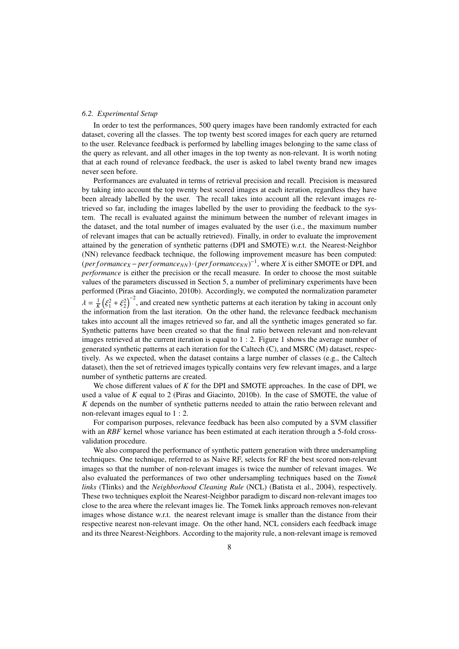#### *6.2. Experimental Setup*

In order to test the performances, 500 query images have been randomly extracted for each dataset, covering all the classes. The top twenty best scored images for each query are returned to the user. Relevance feedback is performed by labelling images belonging to the same class of the query as relevant, and all other images in the top twenty as non-relevant. It is worth noting that at each round of relevance feedback, the user is asked to label twenty brand new images never seen before.

Performances are evaluated in terms of retrieval precision and recall. Precision is measured by taking into account the top twenty best scored images at each iteration, regardless they have been already labelled by the user. The recall takes into account all the relevant images retrieved so far, including the images labelled by the user to providing the feedback to the system. The recall is evaluated against the minimum between the number of relevant images in the dataset, and the total number of images evaluated by the user (i.e., the maximum number of relevant images that can be actually retrieved). Finally, in order to evaluate the improvement attained by the generation of synthetic patterns (DPI and SMOTE) w.r.t. the Nearest-Neighbor (NN) relevance feedback technique, the following improvement measure has been computed: (*per f ormance*<sub>*X*</sub> − *per f ormance*<sub>*NN*</sub>) · (*per f ormance<sub>NN</sub>*)<sup>-1</sup>, where *X* is either SMOTE or DPI, and *performance* is either the precision or the recall measure. In order to choose the most suitable values of the parameters discussed in Section 5, a number of preliminary experiments have been performed (Piras and Giacinto, 2010b). Accordingly, we computed the normalization parameter  $\lambda = \frac{1}{K} (\xi_1^2 + \xi_2^2)^{-2}$ , and created new synthetic patterns at each iteration by taking in account only the information from the last iteration. On the other hand, the relevance feedback mechanism  $\frac{R(S_1 - S_2)}{R(S_1 - S_2)}$ , the contraction  $\frac{S_1}{S_2}$  is the information from the last iteration. On the other hand, the relevance feedback mechanism takes into account all the images retrieved so far, and all the synthetic images generated so far. Synthetic patterns have been created so that the final ratio between relevant and non-relevant images retrieved at the current iteration is equal to 1 : 2. Figure 1 shows the average number of generated synthetic patterns at each iteration for the Caltech (C), and MSRC (M) dataset, respectively. As we expected, when the dataset contains a large number of classes (e.g., the Caltech dataset), then the set of retrieved images typically contains very few relevant images, and a large number of synthetic patterns are created.

We chose different values of *K* for the DPI and SMOTE approaches. In the case of DPI, we used a value of *K* equal to 2 (Piras and Giacinto, 2010b). In the case of SMOTE, the value of *K* depends on the number of synthetic patterns needed to attain the ratio between relevant and non-relevant images equal to 1 : 2.

For comparison purposes, relevance feedback has been also computed by a SVM classifier with an *RBF* kernel whose variance has been estimated at each iteration through a 5-fold crossvalidation procedure.

We also compared the performance of synthetic pattern generation with three undersampling techniques. One technique, referred to as Naive RF, selects for RF the best scored non-relevant images so that the number of non-relevant images is twice the number of relevant images. We also evaluated the performances of two other undersampling techniques based on the *Tomek links* (Tlinks) and the *Neighborhood Cleaning Rule* (NCL) (Batista et al., 2004), respectively. These two techniques exploit the Nearest-Neighbor paradigm to discard non-relevant images too close to the area where the relevant images lie. The Tomek links approach removes non-relevant images whose distance w.r.t. the nearest relevant image is smaller than the distance from their respective nearest non-relevant image. On the other hand, NCL considers each feedback image and its three Nearest-Neighbors. According to the majority rule, a non-relevant image is removed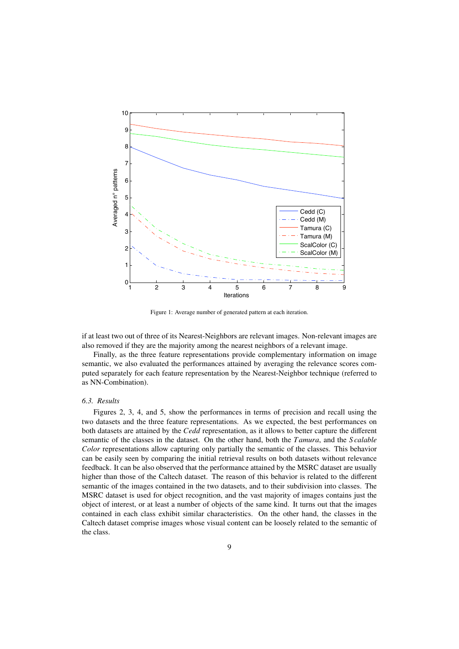

Figure 1: Average number of generated pattern at each iteration.

if at least two out of three of its Nearest-Neighbors are relevant images. Non-relevant images are also removed if they are the majority among the nearest neighbors of a relevant image.

Finally, as the three feature representations provide complementary information on image semantic, we also evaluated the performances attained by averaging the relevance scores computed separately for each feature representation by the Nearest-Neighbor technique (referred to as NN-Combination).

## *6.3. Results*

Figures 2, 3, 4, and 5, show the performances in terms of precision and recall using the two datasets and the three feature representations. As we expected, the best performances on both datasets are attained by the *Cedd* representation, as it allows to better capture the different semantic of the classes in the dataset. On the other hand, both the *T amura*, and the *S calable Color* representations allow capturing only partially the semantic of the classes. This behavior can be easily seen by comparing the initial retrieval results on both datasets without relevance feedback. It can be also observed that the performance attained by the MSRC dataset are usually higher than those of the Caltech dataset. The reason of this behavior is related to the different semantic of the images contained in the two datasets, and to their subdivision into classes. The MSRC dataset is used for object recognition, and the vast majority of images contains just the object of interest, or at least a number of objects of the same kind. It turns out that the images contained in each class exhibit similar characteristics. On the other hand, the classes in the Caltech dataset comprise images whose visual content can be loosely related to the semantic of the class.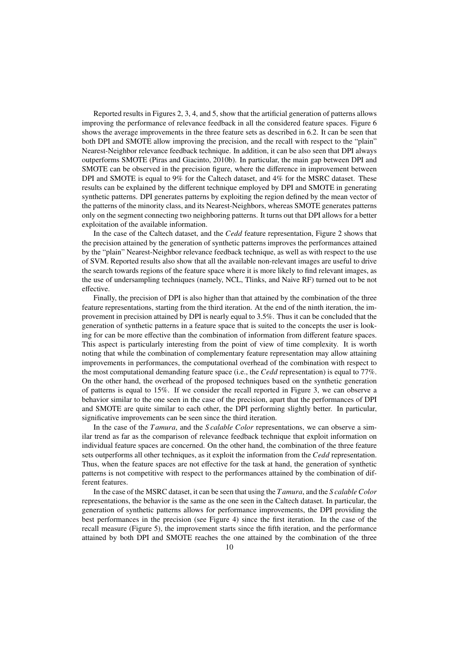Reported results in Figures 2, 3, 4, and 5, show that the artificial generation of patterns allows improving the performance of relevance feedback in all the considered feature spaces. Figure 6 shows the average improvements in the three feature sets as described in 6.2. It can be seen that both DPI and SMOTE allow improving the precision, and the recall with respect to the "plain" Nearest-Neighbor relevance feedback technique. In addition, it can be also seen that DPI always outperforms SMOTE (Piras and Giacinto, 2010b). In particular, the main gap between DPI and SMOTE can be observed in the precision figure, where the difference in improvement between DPI and SMOTE is equal to 9% for the Caltech dataset, and 4% for the MSRC dataset. These results can be explained by the different technique employed by DPI and SMOTE in generating synthetic patterns. DPI generates patterns by exploiting the region defined by the mean vector of the patterns of the minority class, and its Nearest-Neighbors, whereas SMOTE generates patterns only on the segment connecting two neighboring patterns. It turns out that DPI allows for a better exploitation of the available information.

In the case of the Caltech dataset, and the *Cedd* feature representation, Figure 2 shows that the precision attained by the generation of synthetic patterns improves the performances attained by the "plain" Nearest-Neighbor relevance feedback technique, as well as with respect to the use of SVM. Reported results also show that all the available non-relevant images are useful to drive the search towards regions of the feature space where it is more likely to find relevant images, as the use of undersampling techniques (namely, NCL, Tlinks, and Naive RF) turned out to be not effective.

Finally, the precision of DPI is also higher than that attained by the combination of the three feature representations, starting from the third iteration. At the end of the ninth iteration, the improvement in precision attained by DPI is nearly equal to 3.5%. Thus it can be concluded that the generation of synthetic patterns in a feature space that is suited to the concepts the user is looking for can be more effective than the combination of information from different feature spaces. This aspect is particularly interesting from the point of view of time complexity. It is worth noting that while the combination of complementary feature representation may allow attaining improvements in performances, the computational overhead of the combination with respect to the most computational demanding feature space (i.e., the *Cedd* representation) is equal to 77%. On the other hand, the overhead of the proposed techniques based on the synthetic generation of patterns is equal to 15%. If we consider the recall reported in Figure 3, we can observe a behavior similar to the one seen in the case of the precision, apart that the performances of DPI and SMOTE are quite similar to each other, the DPI performing slightly better. In particular, significative improvements can be seen since the third iteration.

In the case of the *T amura*, and the *S calable Color* representations, we can observe a similar trend as far as the comparison of relevance feedback technique that exploit information on individual feature spaces are concerned. On the other hand, the combination of the three feature sets outperforms all other techniques, as it exploit the information from the *Cedd* representation. Thus, when the feature spaces are not effective for the task at hand, the generation of synthetic patterns is not competitive with respect to the performances attained by the combination of different features.

In the case of the MSRC dataset, it can be seen that using the *T amura*, and the *S calable Color* representations, the behavior is the same as the one seen in the Caltech dataset. In particular, the generation of synthetic patterns allows for performance improvements, the DPI providing the best performances in the precision (see Figure 4) since the first iteration. In the case of the recall measure (Figure 5), the improvement starts since the fifth iteration, and the performance attained by both DPI and SMOTE reaches the one attained by the combination of the three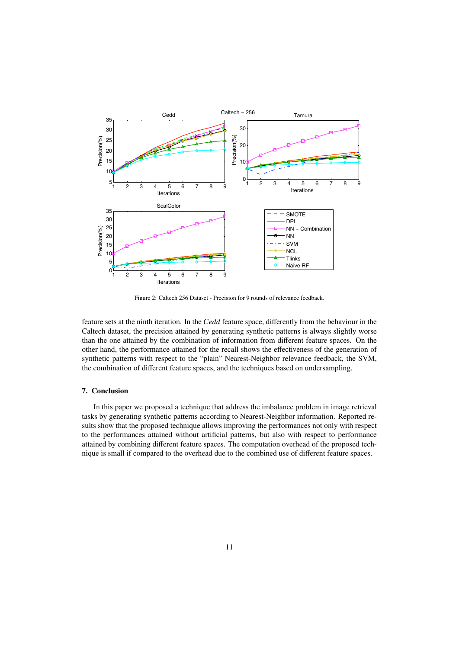

Figure 2: Caltech 256 Dataset - Precision for 9 rounds of relevance feedback.

feature sets at the ninth iteration. In the *Cedd* feature space, differently from the behaviour in the Caltech dataset, the precision attained by generating synthetic patterns is always slightly worse than the one attained by the combination of information from different feature spaces. On the other hand, the performance attained for the recall shows the effectiveness of the generation of synthetic patterns with respect to the "plain" Nearest-Neighbor relevance feedback, the SVM, the combination of different feature spaces, and the techniques based on undersampling.

# 7. Conclusion

In this paper we proposed a technique that address the imbalance problem in image retrieval tasks by generating synthetic patterns according to Nearest-Neighbor information. Reported results show that the proposed technique allows improving the performances not only with respect to the performances attained without artificial patterns, but also with respect to performance attained by combining different feature spaces. The computation overhead of the proposed technique is small if compared to the overhead due to the combined use of different feature spaces.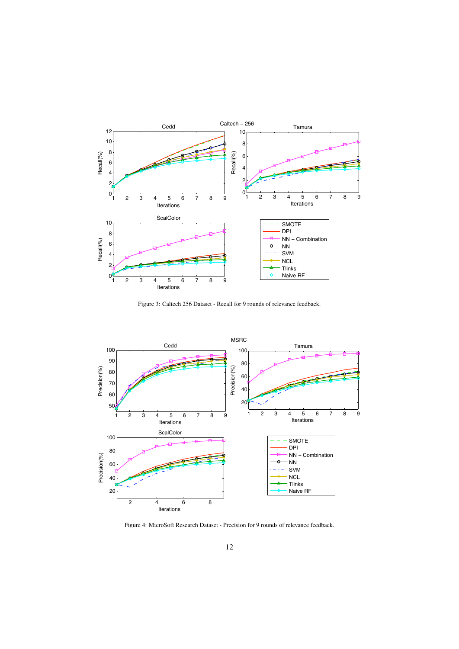

Figure 3: Caltech 256 Dataset - Recall for 9 rounds of relevance feedback.



Figure 4: MicroSoft Research Dataset - Precision for 9 rounds of relevance feedback.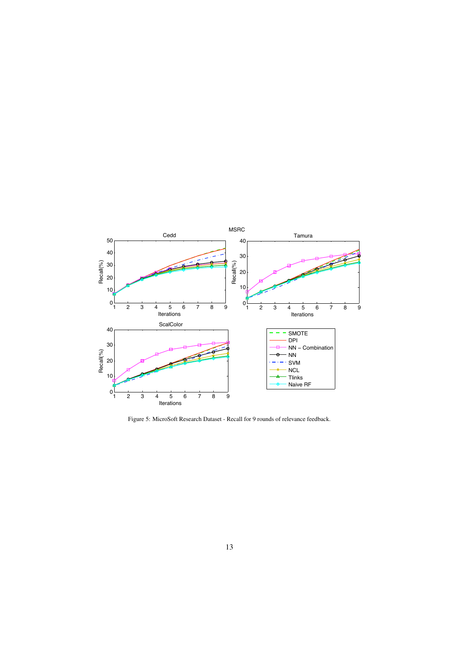

Figure 5: MicroSoft Research Dataset - Recall for 9 rounds of relevance feedback.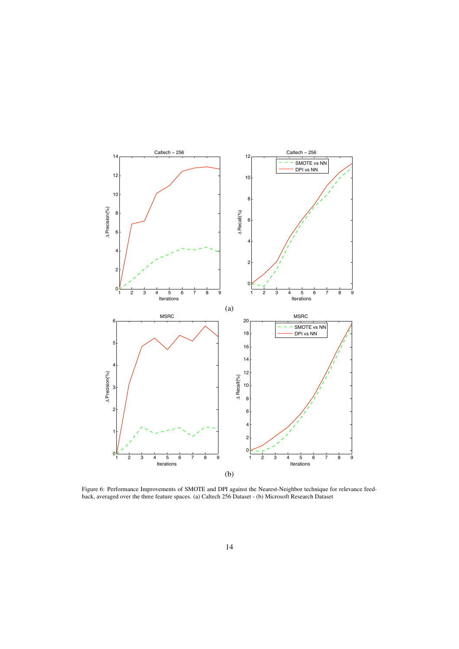

Figure 6: Performance Improvements of SMOTE and DPI against the Nearest-Neighbor technique for relevance feedback, averaged over the three feature spaces. (a) Caltech 256 Dataset - (b) Microsoft Research Dataset